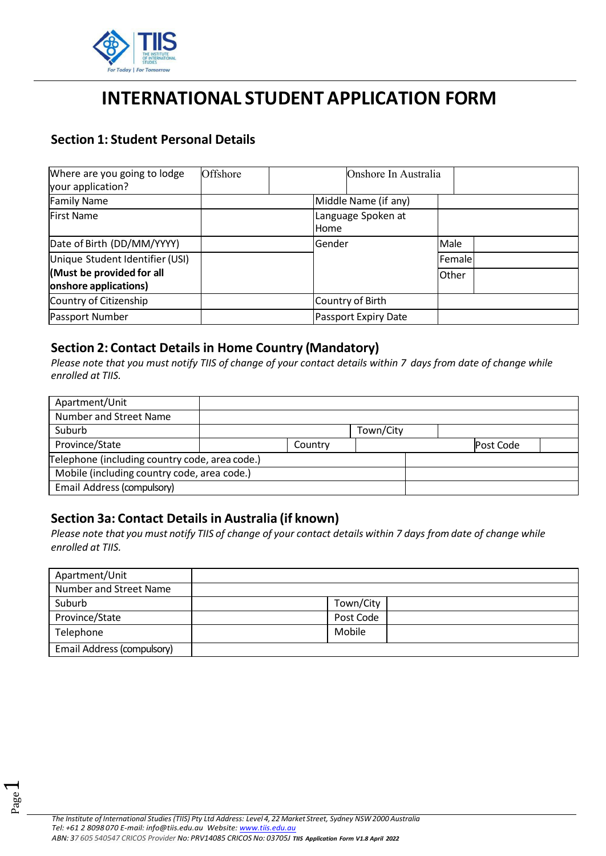

# **INTERNATIONAL STUDENT APPLICATION FORM**

# **Section 1: Student Personal Details**

| Where are you going to lodge<br>your application?  | Offshore | Onshore In Australia              |         |  |
|----------------------------------------------------|----------|-----------------------------------|---------|--|
| <b>Family Name</b>                                 |          | Middle Name (if any)              |         |  |
| <b>First Name</b>                                  |          | Language Spoken at<br><b>Home</b> |         |  |
| Date of Birth (DD/MM/YYYY)                         |          | <b>Gender</b>                     | Male    |  |
| Unique Student Identifier (USI)                    |          |                                   | Femalel |  |
| (Must be provided for all<br>onshore applications) |          |                                   | Other   |  |
| Country of Citizenship                             |          | Country of Birth                  |         |  |
| Passport Number                                    |          | Passport Expiry Date              |         |  |

### **Section 2: Contact Details in Home Country (Mandatory)**

*Please note that you must notify TIIS of change of your contact details within 7 days from date of change while enrolled at TIIS.*

| Apartment/Unit                                 |         |           |           |  |
|------------------------------------------------|---------|-----------|-----------|--|
| Number and Street Name                         |         |           |           |  |
| Suburb                                         |         | Town/City |           |  |
| Province/State                                 | Country |           | Post Code |  |
| Telephone (including country code, area code.) |         |           |           |  |
| Mobile (including country code, area code.)    |         |           |           |  |
| Email Address (compulsory)                     |         |           |           |  |

# **Section 3a: Contact Details in Australia (if known)**

*Please note that you must notify TIIS of change of your contact details within 7 days from date of change while enrolled at TIIS.*

| Apartment/Unit             |           |  |
|----------------------------|-----------|--|
| Number and Street Name     |           |  |
| Suburb                     | Town/City |  |
| Province/State             | Post Code |  |
| Telephone                  | Mobile    |  |
| Email Address (compulsory) |           |  |

Page  $\overline{\phantom{0}}$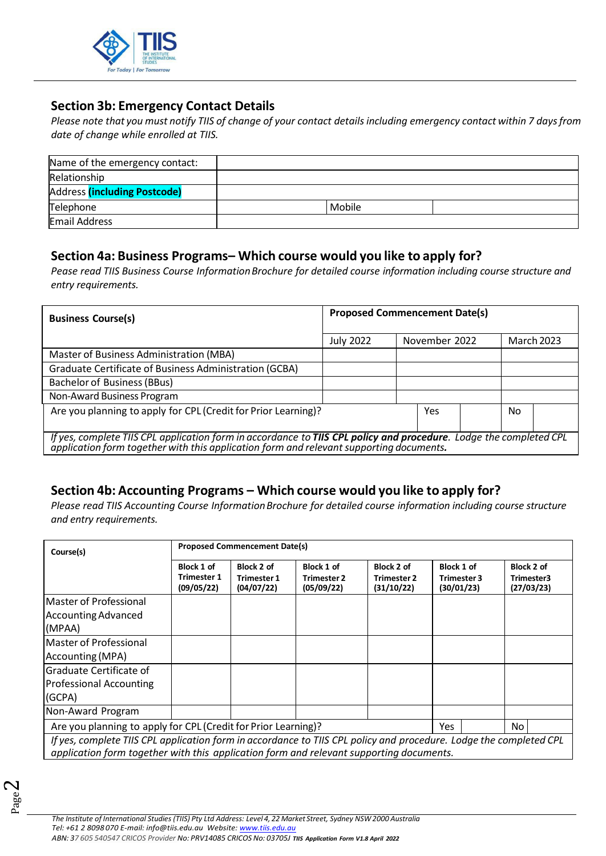

# **Section 3b: Emergency Contact Details**

*Please note that you must notify TIIS of change of your contact details including emergency contact within 7 daysfrom date of change while enrolled at TIIS.*

| Name of the emergency contact: |        |  |
|--------------------------------|--------|--|
| Relationship                   |        |  |
| Address (including Postcode)   |        |  |
| Telephone                      | Mobile |  |
| <b>Email Address</b>           |        |  |

### **Section 4a: Business Programs– Which course would you like to apply for?**

*Pease read TIIS Business Course InformationBrochure for detailed course information including course structure and entry requirements.* 

| <b>Business Course(s)</b>                                                                                                                                                                                     | <b>Proposed Commencement Date(s)</b> |               |                   |  |
|---------------------------------------------------------------------------------------------------------------------------------------------------------------------------------------------------------------|--------------------------------------|---------------|-------------------|--|
|                                                                                                                                                                                                               | <b>July 2022</b>                     | November 2022 | <b>March 2023</b> |  |
| Master of Business Administration (MBA)                                                                                                                                                                       |                                      |               |                   |  |
| Graduate Certificate of Business Administration (GCBA)                                                                                                                                                        |                                      |               |                   |  |
| Bachelor of Business (BBus)                                                                                                                                                                                   |                                      |               |                   |  |
| Non-Award Business Program                                                                                                                                                                                    |                                      |               |                   |  |
| Are you planning to apply for CPL (Credit for Prior Learning)?<br>No.<br>Yes                                                                                                                                  |                                      |               |                   |  |
| If yes, complete TIIS CPL application form in accordance to TIIS CPL policy and procedure. Lodge the completed CPL<br>application form together with this application form and relevant supporting documents. |                                      |               |                   |  |

# **Section 4b: Accounting Programs – Which course would you like to apply for?**

*Please read TIIS Accounting Course InformationBrochure for detailed course information including course structure and entry requirements.* 

| Course(s)                                                                                                                                                                                                     | <b>Proposed Commencement Date(s)</b>           |                                                |                                                |                                                |                                                |                                        |
|---------------------------------------------------------------------------------------------------------------------------------------------------------------------------------------------------------------|------------------------------------------------|------------------------------------------------|------------------------------------------------|------------------------------------------------|------------------------------------------------|----------------------------------------|
|                                                                                                                                                                                                               | Block 1 of<br><b>Trimester 1</b><br>(09/05/22) | Block 2 of<br><b>Trimester 1</b><br>(04/07/22) | Block 1 of<br><b>Trimester 2</b><br>(05/09/22) | Block 2 of<br><b>Trimester 2</b><br>(31/10/22) | Block 1 of<br><b>Trimester 3</b><br>(30/01/23) | Block 2 of<br>Trimester3<br>(27/03/23) |
| <b>IMaster of Professional</b><br>Accounting Advanced<br>(MPAA)                                                                                                                                               |                                                |                                                |                                                |                                                |                                                |                                        |
| <b>IMaster of Professional</b><br>Accounting (MPA)                                                                                                                                                            |                                                |                                                |                                                |                                                |                                                |                                        |
| lGraduate Certificate of<br><b>Professional Accounting</b><br>(GCPA)                                                                                                                                          |                                                |                                                |                                                |                                                |                                                |                                        |
| Non-Award Program                                                                                                                                                                                             |                                                |                                                |                                                |                                                |                                                |                                        |
| Are you planning to apply for CPL (Credit for Prior Learning)?<br>No.<br>Yes.                                                                                                                                 |                                                |                                                |                                                |                                                |                                                |                                        |
| If yes, complete TIIS CPL application form in accordance to TIIS CPL policy and procedure. Lodge the completed CPL<br>application form together with this application form and relevant supporting documents. |                                                |                                                |                                                |                                                |                                                |                                        |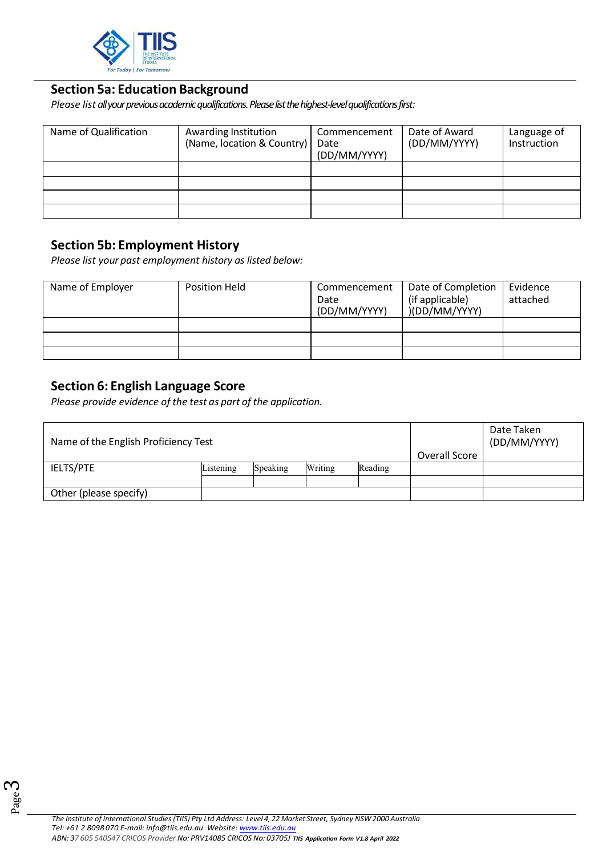

### **Section 5a: Education Background**

*Please list all your previous academic qualifications. Please list the highest-levelqualifications first:* 

| Name of Qualification | Awarding Institution<br>(Name, location & Country) | Commencement<br>Date<br>(DD/MM/YYYY) | Date of Award<br>(DD/MM/YYYY) | Language of<br>Instruction |
|-----------------------|----------------------------------------------------|--------------------------------------|-------------------------------|----------------------------|
|                       |                                                    |                                      |                               |                            |
|                       |                                                    |                                      |                               |                            |
|                       |                                                    |                                      |                               |                            |
|                       |                                                    |                                      |                               |                            |

# **Section 5b: Employment History**

*Please list your past employment history as listed below:* 

| Name of Employer | Position Held | Commencement<br>Date<br>(DD/MM/YYYY) | Date of Completion<br>(if applicable)<br>)(DD/MM/YYYY) | Evidence<br>attached |
|------------------|---------------|--------------------------------------|--------------------------------------------------------|----------------------|
|                  |               |                                      |                                                        |                      |
|                  |               |                                      |                                                        |                      |
|                  |               |                                      |                                                        |                      |

# **Section 6: English Language Score**

*Please provide evidence of the test as part of the application.*

| Name of the English Proficiency Test |           | Date Taken<br>(DD/MM/YYYY) |         |         |               |  |
|--------------------------------------|-----------|----------------------------|---------|---------|---------------|--|
|                                      |           |                            |         |         | Overall Score |  |
| <b>IELTS/PTE</b>                     | Listening | Speaking                   | Writing | Reading |               |  |
|                                      |           |                            |         |         |               |  |
| Other (please specify)               |           |                            |         |         |               |  |

Page

ო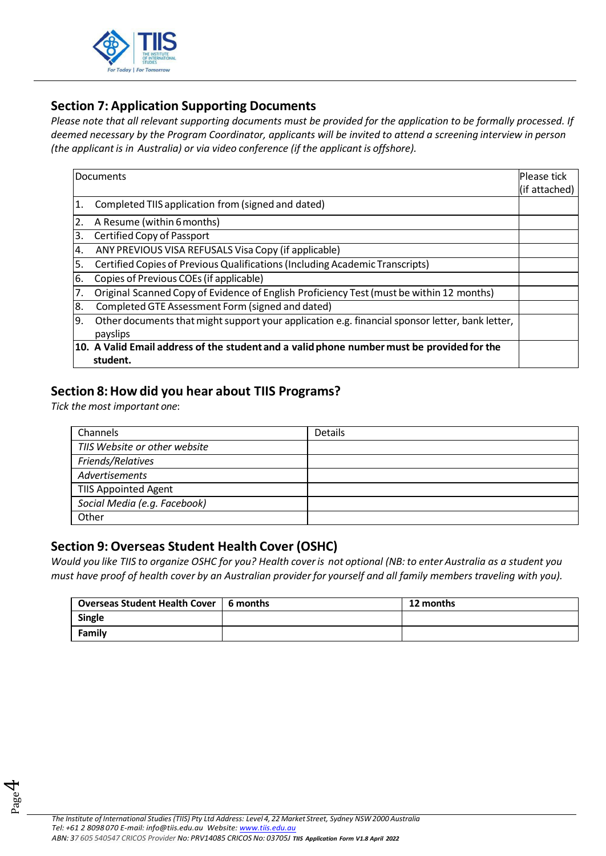

# **Section 7: Application Supporting Documents**

*Please note that all relevant supporting documents must be provided for the application to be formally processed. If deemed necessary by the Program Coordinator, applicants will be invited to attend a screening interview in person (the applicant is in Australia) or via video conference (if the applicant is offshore).*

|    | Documents                                                                                       | Please tick<br>(if attached) |
|----|-------------------------------------------------------------------------------------------------|------------------------------|
| 1. | Completed TIIS application from (signed and dated)                                              |                              |
| 2. | A Resume (within 6 months)                                                                      |                              |
| 3. | Certified Copy of Passport                                                                      |                              |
| 4. | ANY PREVIOUS VISA REFUSALS Visa Copy (if applicable)                                            |                              |
| 5. | Certified Copies of Previous Qualifications (Including Academic Transcripts)                    |                              |
| 6. | Copies of Previous COEs (if applicable)                                                         |                              |
| 7. | Original Scanned Copy of Evidence of English Proficiency Test (must be within 12 months)        |                              |
| 8. | Completed GTE Assessment Form (signed and dated)                                                |                              |
| 9. | Other documents that might support your application e.g. financial sponsor letter, bank letter, |                              |
|    | payslips                                                                                        |                              |
|    | 10. A Valid Email address of the student and a valid phone number must be provided for the      |                              |
|    | student.                                                                                        |                              |

# **Section 8:How did you hear about TIIS Programs?**

*Tick the most important one*:

| Channels                      | <b>Details</b> |
|-------------------------------|----------------|
| TIIS Website or other website |                |
| Friends/Relatives             |                |
| Advertisements                |                |
| <b>TIIS Appointed Agent</b>   |                |
| Social Media (e.g. Facebook)  |                |
| Other                         |                |

# **Section 9:Overseas Student Health Cover (OSHC)**

*Would you like TIIS to organize OSHC for you? Health coveris not optional (NB: to enter Australia as a student you must have proof of health cover by an Australian provider for yourself and all family members traveling with you).*

| Overseas Student Health Cover   6 months | 12 months |
|------------------------------------------|-----------|
| Single                                   |           |
| <b>Family</b>                            |           |

Page 4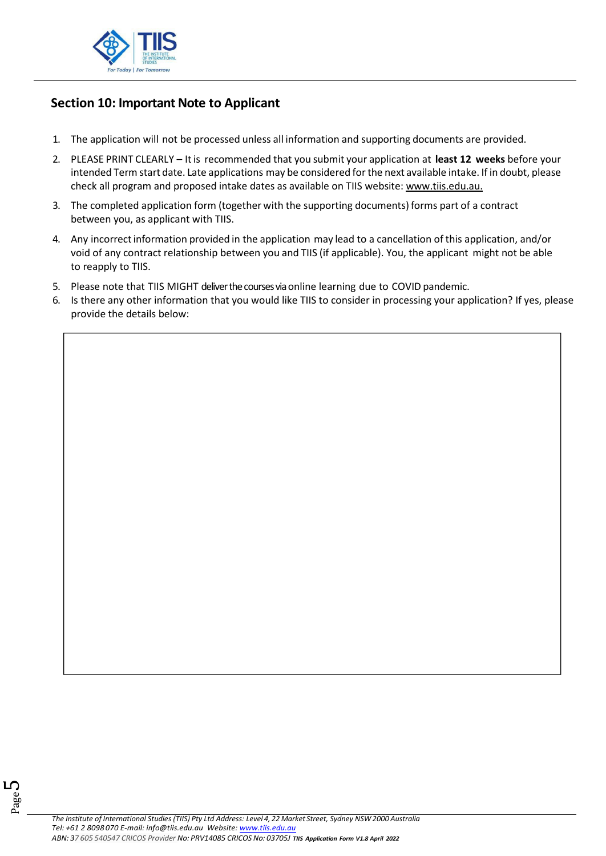

# **Section 10: Important Note to Applicant**

- 1. The application will not be processed unless all information and supporting documents are provided.
- 2. PLEASE PRINT CLEARLY Itis recommended that you submit your application at **least 12 weeks** before your intended Term start date. Late applications may be considered forthe next available intake. If in doubt, please check all program and proposed intake dates as available on TIIS website: [www.tiis.edu.au.](http://www.tiis.edu.au/)
- 3. The completed application form (together with the supporting documents) forms part of a contract between you, as applicant with TIIS.
- 4. Any incorrectinformation provided in the application may lead to a cancellation of this application, and/or void of any contract relationship between you and TIIS (if applicable). You, the applicant might not be able to reapply to TIIS.
- 5. Please note that TIIS MIGHT deliver the courses via online learning due to COVID pandemic.
- 6. Is there any other information that you would like TIIS to consider in processing your application? If yes, please provide the details below:

Page L∩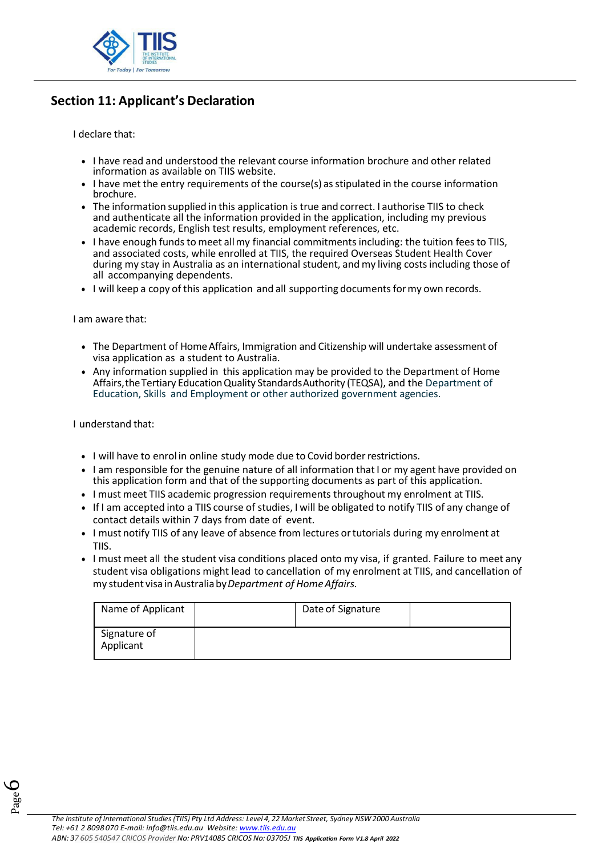

# **Section 11: Applicant's Declaration**

I declare that:

- I have read and understood the relevant course information brochure and other related information as available on TIIS website.
- I have met the entry requirements of the course(s) as stipulated in the course information brochure.
- The information supplied in this application is true and correct. I authorise TIIS to check and authenticate all the information provided in the application, including my previous academic records, English test results, employment references, etc.
- I have enough funds to meet allmy financial commitments including: the tuition feesto TIIS, and associated costs, while enrolled at TIIS, the required Overseas Student Health Cover during my stay in Australia as an international student, and my living costsincluding those of all accompanying dependents.
- I will keep a copy of this application and all supporting documents for my own records.

#### I am aware that:

- The Department of Home Affairs, Immigration and Citizenship will undertake assessment of visa application as a student to Australia.
- Any information supplied in this application may be provided to the Department of Home Affairs,theTertiary EducationQuality StandardsAuthority (TEQSA), and the Department of Education, Skills and Employment or other authorized government agencies.

I understand that:

- I will have to enrol in online study mode due to Covid border restrictions.
- I am responsible for the genuine nature of all information that I or my agent have provided on this application form and that of the supporting documents as part of this application.
- I must meet TIIS academic progression requirements throughout my enrolment at TIIS.
- If I am accepted into a TIIS course of studies, I will be obligated to notify TIIS of any change of contact details within 7 days from date of event.
- I must notify TIIS of any leave of absence from lectures ortutorials during my enrolment at TIIS.
- I must meet all the student visa conditions placed onto my visa, if granted. Failure to meet any student visa obligations might lead to cancellation of my enrolment at TIIS, and cancellation of my student visa inAustraliaby*Department of HomeAffairs.*

| Name of Applicant         | Date of Signature |  |
|---------------------------|-------------------|--|
| Signature of<br>Applicant |                   |  |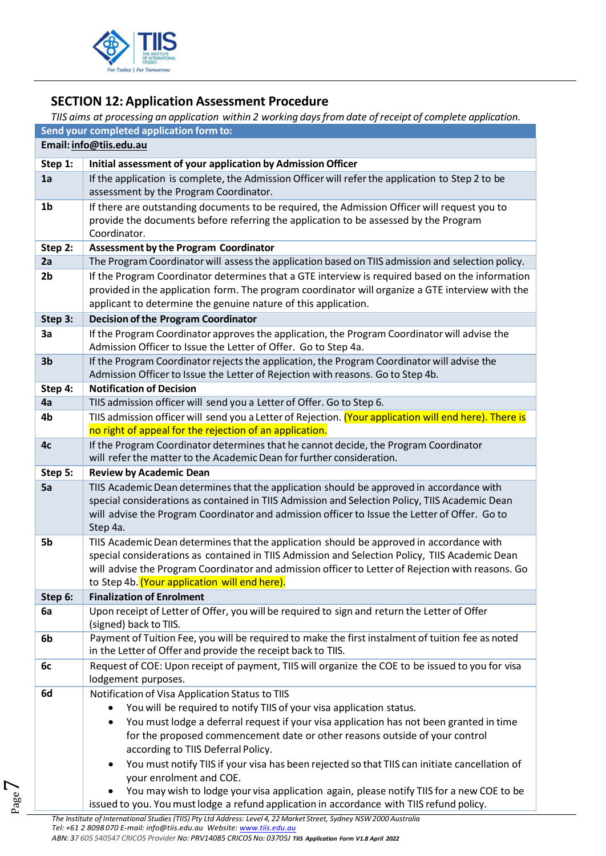

# **SECTION 12: Application Assessment Procedure**

# *TIIS aims at processing an application within 2 working daysfrom date of receipt of complete application.*

|                | Send your completed application form to:                                                                                                                       |  |  |  |  |  |
|----------------|----------------------------------------------------------------------------------------------------------------------------------------------------------------|--|--|--|--|--|
|                | Email: info@tiis.edu.au                                                                                                                                        |  |  |  |  |  |
| Step 1:        | Initial assessment of your application by Admission Officer                                                                                                    |  |  |  |  |  |
| 1a             | If the application is complete, the Admission Officer will refer the application to Step 2 to be                                                               |  |  |  |  |  |
|                | assessment by the Program Coordinator.                                                                                                                         |  |  |  |  |  |
| 1 <sub>b</sub> | If there are outstanding documents to be required, the Admission Officer will request you to                                                                   |  |  |  |  |  |
|                | provide the documents before referring the application to be assessed by the Program                                                                           |  |  |  |  |  |
|                | Coordinator.                                                                                                                                                   |  |  |  |  |  |
| Step 2:        | <b>Assessment by the Program Coordinator</b>                                                                                                                   |  |  |  |  |  |
| 2a             | The Program Coordinator will assess the application based on TIIS admission and selection policy.                                                              |  |  |  |  |  |
| 2 <sub>b</sub> | If the Program Coordinator determines that a GTE interview is required based on the information                                                                |  |  |  |  |  |
|                | provided in the application form. The program coordinator will organize a GTE interview with the                                                               |  |  |  |  |  |
|                | applicant to determine the genuine nature of this application.                                                                                                 |  |  |  |  |  |
| Step 3:        | <b>Decision of the Program Coordinator</b>                                                                                                                     |  |  |  |  |  |
| 3a             | If the Program Coordinator approves the application, the Program Coordinator will advise the<br>Admission Officer to Issue the Letter of Offer. Go to Step 4a. |  |  |  |  |  |
| 3 <sub>b</sub> | If the Program Coordinator rejects the application, the Program Coordinator will advise the                                                                    |  |  |  |  |  |
|                | Admission Officer to Issue the Letter of Rejection with reasons. Go to Step 4b.                                                                                |  |  |  |  |  |
| Step 4:        | <b>Notification of Decision</b>                                                                                                                                |  |  |  |  |  |
| 4a             | TIIS admission officer will send you a Letter of Offer. Go to Step 6.                                                                                          |  |  |  |  |  |
| 4b             | TIIS admission officer will send you a Letter of Rejection. (Your application will end here). There is                                                         |  |  |  |  |  |
|                | no right of appeal for the rejection of an application.                                                                                                        |  |  |  |  |  |
| 4c             | If the Program Coordinator determines that he cannot decide, the Program Coordinator<br>will refer the matter to the Academic Dean for further consideration.  |  |  |  |  |  |
| Step 5:        | <b>Review by Academic Dean</b>                                                                                                                                 |  |  |  |  |  |
| 5a             | TIIS Academic Dean determines that the application should be approved in accordance with                                                                       |  |  |  |  |  |
|                | special considerations as contained in TIIS Admission and Selection Policy, TIIS Academic Dean                                                                 |  |  |  |  |  |
|                | will advise the Program Coordinator and admission officer to Issue the Letter of Offer. Go to                                                                  |  |  |  |  |  |
|                | Step 4a.                                                                                                                                                       |  |  |  |  |  |
| 5b             | TIIS Academic Dean determines that the application should be approved in accordance with                                                                       |  |  |  |  |  |
|                | special considerations as contained in TIIS Admission and Selection Policy, TIIS Academic Dean                                                                 |  |  |  |  |  |
|                | will advise the Program Coordinator and admission officer to Letter of Rejection with reasons. Go<br>to Step 4b. (Your application will end here).             |  |  |  |  |  |
| Step 6:        | <b>Finalization of Enrolment</b>                                                                                                                               |  |  |  |  |  |
| 6a             | Upon receipt of Letter of Offer, you will be required to sign and return the Letter of Offer                                                                   |  |  |  |  |  |
|                | (signed) back to TIIS.                                                                                                                                         |  |  |  |  |  |
| 6b             | Payment of Tuition Fee, you will be required to make the first instalment of tuition fee as noted                                                              |  |  |  |  |  |
|                | in the Letter of Offer and provide the receipt back to TIIS.                                                                                                   |  |  |  |  |  |
| 6c             | Request of COE: Upon receipt of payment, TIIS will organize the COE to be issued to you for visa                                                               |  |  |  |  |  |
|                | lodgement purposes.                                                                                                                                            |  |  |  |  |  |
| 6d             | Notification of Visa Application Status to TIIS                                                                                                                |  |  |  |  |  |
|                | You will be required to notify TIIS of your visa application status.                                                                                           |  |  |  |  |  |
|                | You must lodge a deferral request if your visa application has not been granted in time<br>٠                                                                   |  |  |  |  |  |
|                | for the proposed commencement date or other reasons outside of your control<br>according to TIIS Deferral Policy.                                              |  |  |  |  |  |
|                | You must notify TIIS if your visa has been rejected so that TIIS can initiate cancellation of                                                                  |  |  |  |  |  |
|                | $\bullet$<br>your enrolment and COE.                                                                                                                           |  |  |  |  |  |
|                | You may wish to lodge your visa application again, please notify TIIS for a new COE to be                                                                      |  |  |  |  |  |
|                | issued to you. You must lodge a refund application in accordance with TIIS refund policy.                                                                      |  |  |  |  |  |

Page  $\blacktriangledown$